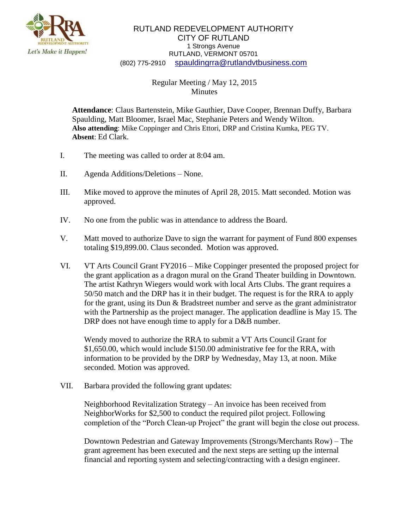

## RUTLAND REDEVELOPMENT AUTHORITY CITY OF RUTLAND 1 Strongs Avenue RUTLAND, VERMONT 05701 (802) 775-2910 [spauldingrra@rutlandvtbusiness.com](mailto:allenrra@rutlandvtbusiness.com)

## Regular Meeting / May 12, 2015 Minutes

**Attendance**: Claus Bartenstein, Mike Gauthier, Dave Cooper, Brennan Duffy, Barbara Spaulding, Matt Bloomer, Israel Mac, Stephanie Peters and Wendy Wilton. **Also attending**: Mike Coppinger and Chris Ettori, DRP and Cristina Kumka, PEG TV. **Absent**: Ed Clark.

- I. The meeting was called to order at 8:04 am.
- II. Agenda Additions/Deletions None.
- III. Mike moved to approve the minutes of April 28, 2015. Matt seconded. Motion was approved.
- IV. No one from the public was in attendance to address the Board.
- V. Matt moved to authorize Dave to sign the warrant for payment of Fund 800 expenses totaling \$19,899.00. Claus seconded. Motion was approved.
- VI. VT Arts Council Grant FY2016 Mike Coppinger presented the proposed project for the grant application as a dragon mural on the Grand Theater building in Downtown. The artist Kathryn Wiegers would work with local Arts Clubs. The grant requires a 50/50 match and the DRP has it in their budget. The request is for the RRA to apply for the grant, using its Dun & Bradstreet number and serve as the grant administrator with the Partnership as the project manager. The application deadline is May 15. The DRP does not have enough time to apply for a D&B number.

Wendy moved to authorize the RRA to submit a VT Arts Council Grant for \$1,650.00, which would include \$150.00 administrative fee for the RRA, with information to be provided by the DRP by Wednesday, May 13, at noon. Mike seconded. Motion was approved.

VII. Barbara provided the following grant updates:

Neighborhood Revitalization Strategy – An invoice has been received from NeighborWorks for \$2,500 to conduct the required pilot project. Following completion of the "Porch Clean-up Project" the grant will begin the close out process.

Downtown Pedestrian and Gateway Improvements (Strongs/Merchants Row) – The grant agreement has been executed and the next steps are setting up the internal financial and reporting system and selecting/contracting with a design engineer.